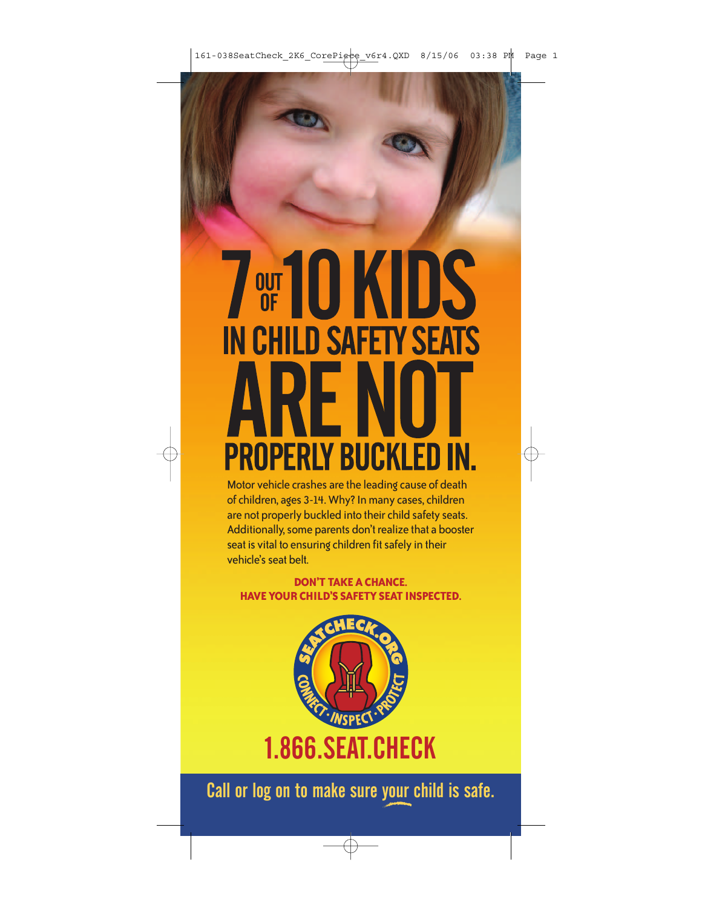## **THE 10 KIDS IN CHILD SAFETY SEATS RENO PROPERLY BUCKLED IN.**

Motor vehicle crashes are the leading cause of death of children, ages 3-14. Why? In many cases, children are not properly buckled into their child safety seats. Additionally, some parents don't realize that a booster seat is vital to ensuring children fit safely in their vehicle's seat belt.

**DON'T TAKE A CHANCE. HAVE YOUR CHILD'S SAFETY SEAT INSPECTED.**



Call or log on to make sure your child is safe.